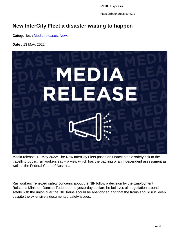**RTBU Express**

https://rtbuexpress.com.au

## **New InterCity Fleet a disaster waiting to happen**

**Categories :** [Media releases,](https://rtbuexpress.com.au/category/news/media-releases/) News

**Date :** 13 May, 2022



Media release, 13 May 2022: The New InterCity Fleet poses an unacceptable safety risk to the travelling public, rail workers say – a view which has the backing of an independent assessment as well as the Federal Court of Australia.

Rail workers' renewed safety concerns about the NIF follow a decision by the Employment Relations Minister, Damian Tudehope, to yesterday declare he believes all negotiation around safety with the union over the NIF trains should be abandoned and that the trains should run, even despite the extensively documented safety issues.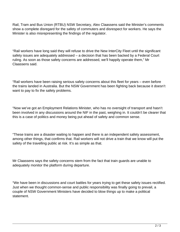Rail, Tram and Bus Union (RTBU) NSW Secretary, Alex Claassens said the Minister's comments show a complete disregard for the safety of commuters and disrespect for workers. He says the Minister is also misrepresenting the findings of the regulator.

"Rail workers have long said they will refuse to drive the New InterCity Fleet until the significant safety issues are adequately addressed – a decision that has been backed by a Federal Court ruling. As soon as those safety concerns are addressed, we'll happily operate them," Mr Claassens said.

"Rail workers have been raising serious safety concerns about this fleet for years – even before the trains landed in Australia. But the NSW Government has been fighting back because it doesn't want to pay to fix the safety problems.

"Now we've got an Employment Relations Minister, who has no oversight of transport and hasn't been involved in any discussions around the NIF in the past, weighing in. It couldn't be clearer that this is a case of politics and money being put ahead of safety and common sense.

"These trains are a disaster waiting to happen and there is an independent safety assessment, among other things, that confirms that. Rail workers will not drive a train that we know will put the safety of the travelling public at risk. It's as simple as that.

Mr Claassens says the safety concerns stem from the fact that train guards are unable to adequately monitor the platform during departure.

"We have been in discussions and court battles for years trying to get these safety issues rectified. Just when we thought common-sense and public responsibility was finally going to prevail, a couple of NSW Government Ministers have decided to blow things up to make a political statement.